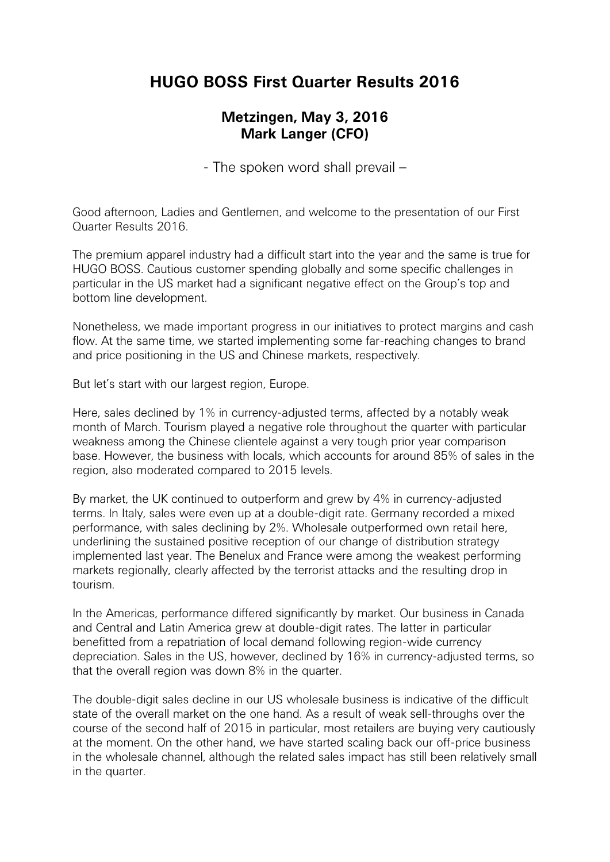## **HUGO BOSS First Quarter Results 2016**

## **Metzingen, May 3, 2016 Mark Langer (CFO)**

- The spoken word shall prevail –

Good afternoon, Ladies and Gentlemen, and welcome to the presentation of our First Quarter Results 2016.

The premium apparel industry had a difficult start into the year and the same is true for HUGO BOSS. Cautious customer spending globally and some specific challenges in particular in the US market had a significant negative effect on the Group's top and bottom line development.

Nonetheless, we made important progress in our initiatives to protect margins and cash flow. At the same time, we started implementing some far-reaching changes to brand and price positioning in the US and Chinese markets, respectively.

But let's start with our largest region, Europe.

Here, sales declined by 1% in currency-adjusted terms, affected by a notably weak month of March. Tourism played a negative role throughout the quarter with particular weakness among the Chinese clientele against a very tough prior year comparison base. However, the business with locals, which accounts for around 85% of sales in the region, also moderated compared to 2015 levels.

By market, the UK continued to outperform and grew by 4% in currency-adjusted terms. In Italy, sales were even up at a double-digit rate. Germany recorded a mixed performance, with sales declining by 2%. Wholesale outperformed own retail here, underlining the sustained positive reception of our change of distribution strategy implemented last year. The Benelux and France were among the weakest performing markets regionally, clearly affected by the terrorist attacks and the resulting drop in tourism.

In the Americas, performance differed significantly by market. Our business in Canada and Central and Latin America grew at double-digit rates. The latter in particular benefitted from a repatriation of local demand following region-wide currency depreciation. Sales in the US, however, declined by 16% in currency-adjusted terms, so that the overall region was down 8% in the quarter.

The double-digit sales decline in our US wholesale business is indicative of the difficult state of the overall market on the one hand. As a result of weak sell-throughs over the course of the second half of 2015 in particular, most retailers are buying very cautiously at the moment. On the other hand, we have started scaling back our off-price business in the wholesale channel, although the related sales impact has still been relatively small in the quarter.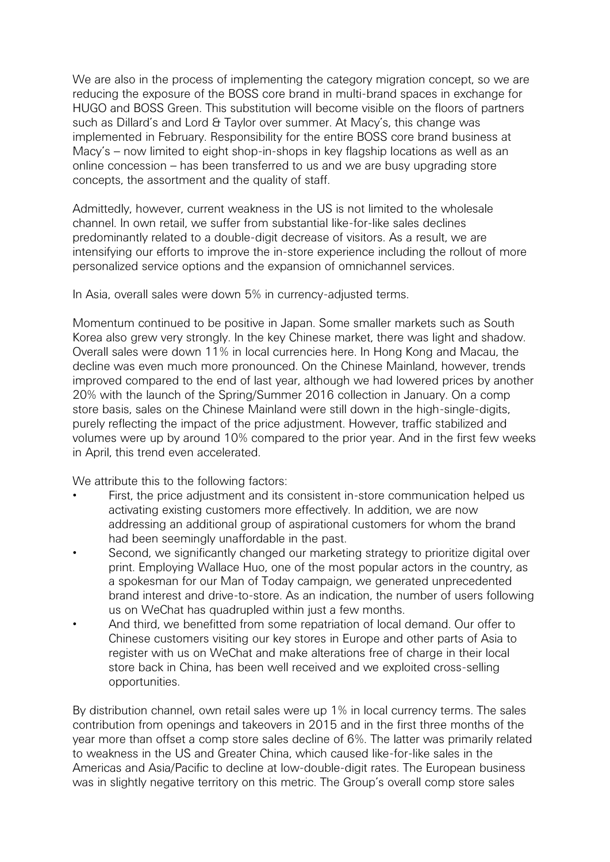We are also in the process of implementing the category migration concept, so we are reducing the exposure of the BOSS core brand in multi-brand spaces in exchange for HUGO and BOSS Green. This substitution will become visible on the floors of partners such as Dillard's and Lord & Taylor over summer. At Macy's, this change was implemented in February. Responsibility for the entire BOSS core brand business at Macy's – now limited to eight shop-in-shops in key flagship locations as well as an online concession – has been transferred to us and we are busy upgrading store concepts, the assortment and the quality of staff.

Admittedly, however, current weakness in the US is not limited to the wholesale channel. In own retail, we suffer from substantial like-for-like sales declines predominantly related to a double-digit decrease of visitors. As a result, we are intensifying our efforts to improve the in-store experience including the rollout of more personalized service options and the expansion of omnichannel services.

In Asia, overall sales were down 5% in currency-adjusted terms.

Momentum continued to be positive in Japan. Some smaller markets such as South Korea also grew very strongly. In the key Chinese market, there was light and shadow. Overall sales were down 11% in local currencies here. In Hong Kong and Macau, the decline was even much more pronounced. On the Chinese Mainland, however, trends improved compared to the end of last year, although we had lowered prices by another 20% with the launch of the Spring/Summer 2016 collection in January. On a comp store basis, sales on the Chinese Mainland were still down in the high-single-digits, purely reflecting the impact of the price adjustment. However, traffic stabilized and volumes were up by around 10% compared to the prior year. And in the first few weeks in April, this trend even accelerated.

We attribute this to the following factors:

- First, the price adjustment and its consistent in-store communication helped us activating existing customers more effectively. In addition, we are now addressing an additional group of aspirational customers for whom the brand had been seemingly unaffordable in the past.
- Second, we significantly changed our marketing strategy to prioritize digital over print. Employing Wallace Huo, one of the most popular actors in the country, as a spokesman for our Man of Today campaign, we generated unprecedented brand interest and drive-to-store. As an indication, the number of users following us on WeChat has quadrupled within just a few months.
- And third, we benefitted from some repatriation of local demand. Our offer to Chinese customers visiting our key stores in Europe and other parts of Asia to register with us on WeChat and make alterations free of charge in their local store back in China, has been well received and we exploited cross-selling opportunities.

By distribution channel, own retail sales were up 1% in local currency terms. The sales contribution from openings and takeovers in 2015 and in the first three months of the year more than offset a comp store sales decline of 6%. The latter was primarily related to weakness in the US and Greater China, which caused like-for-like sales in the Americas and Asia/Pacific to decline at low-double-digit rates. The European business was in slightly negative territory on this metric. The Group's overall comp store sales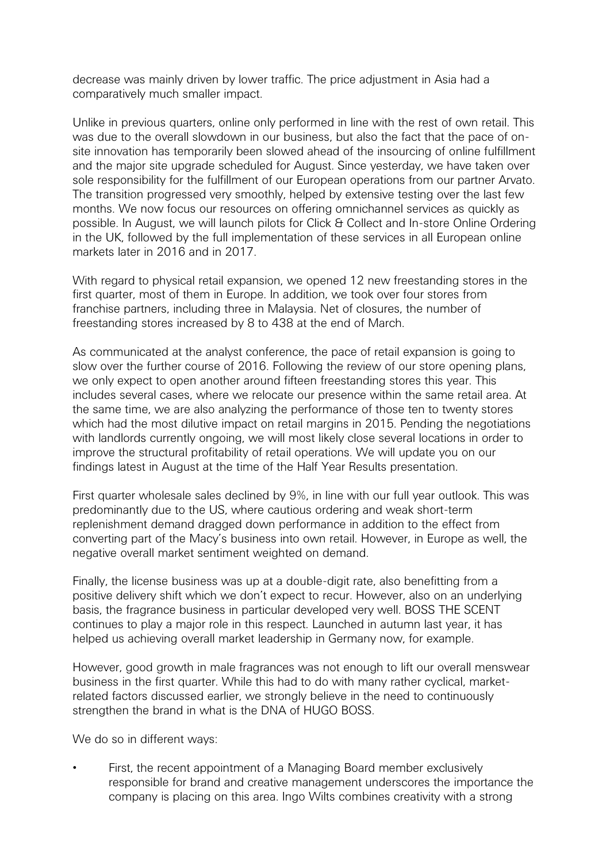decrease was mainly driven by lower traffic. The price adjustment in Asia had a comparatively much smaller impact.

Unlike in previous quarters, online only performed in line with the rest of own retail. This was due to the overall slowdown in our business, but also the fact that the pace of onsite innovation has temporarily been slowed ahead of the insourcing of online fulfillment and the major site upgrade scheduled for August. Since yesterday, we have taken over sole responsibility for the fulfillment of our European operations from our partner Arvato. The transition progressed very smoothly, helped by extensive testing over the last few months. We now focus our resources on offering omnichannel services as quickly as possible. In August, we will launch pilots for Click & Collect and In-store Online Ordering in the UK, followed by the full implementation of these services in all European online markets later in 2016 and in 2017.

With regard to physical retail expansion, we opened 12 new freestanding stores in the first quarter, most of them in Europe. In addition, we took over four stores from franchise partners, including three in Malaysia. Net of closures, the number of freestanding stores increased by 8 to 438 at the end of March.

As communicated at the analyst conference, the pace of retail expansion is going to slow over the further course of 2016. Following the review of our store opening plans, we only expect to open another around fifteen freestanding stores this year. This includes several cases, where we relocate our presence within the same retail area. At the same time, we are also analyzing the performance of those ten to twenty stores which had the most dilutive impact on retail margins in 2015. Pending the negotiations with landlords currently ongoing, we will most likely close several locations in order to improve the structural profitability of retail operations. We will update you on our findings latest in August at the time of the Half Year Results presentation.

First quarter wholesale sales declined by 9%, in line with our full year outlook. This was predominantly due to the US, where cautious ordering and weak short-term replenishment demand dragged down performance in addition to the effect from converting part of the Macy's business into own retail. However, in Europe as well, the negative overall market sentiment weighted on demand.

Finally, the license business was up at a double-digit rate, also benefitting from a positive delivery shift which we don't expect to recur. However, also on an underlying basis, the fragrance business in particular developed very well. BOSS THE SCENT continues to play a major role in this respect. Launched in autumn last year, it has helped us achieving overall market leadership in Germany now, for example.

However, good growth in male fragrances was not enough to lift our overall menswear business in the first quarter. While this had to do with many rather cyclical, marketrelated factors discussed earlier, we strongly believe in the need to continuously strengthen the brand in what is the DNA of HUGO BOSS.

We do so in different ways:

First, the recent appointment of a Managing Board member exclusively responsible for brand and creative management underscores the importance the company is placing on this area. Ingo Wilts combines creativity with a strong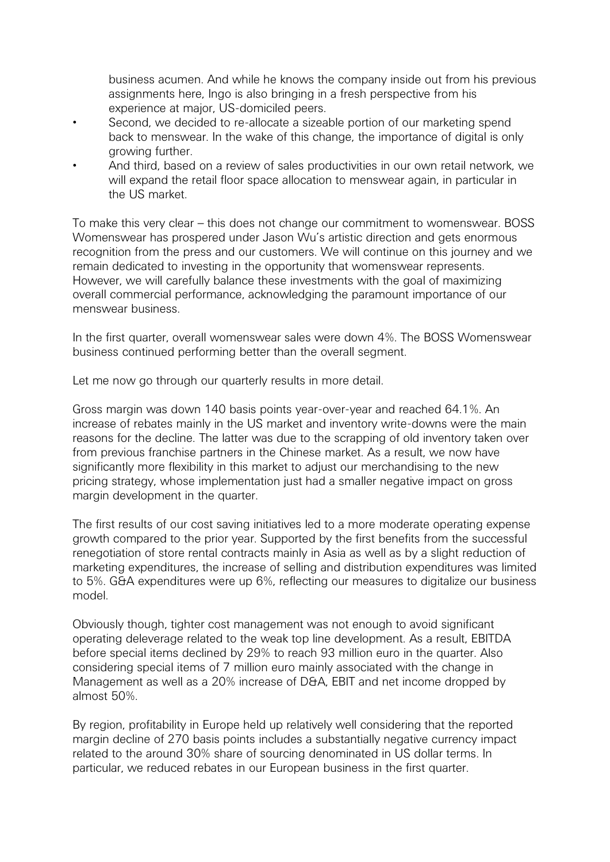business acumen. And while he knows the company inside out from his previous assignments here, Ingo is also bringing in a fresh perspective from his experience at major, US-domiciled peers.

- Second, we decided to re-allocate a sizeable portion of our marketing spend back to menswear. In the wake of this change, the importance of digital is only growing further.
- And third, based on a review of sales productivities in our own retail network, we will expand the retail floor space allocation to menswear again, in particular in the US market.

To make this very clear – this does not change our commitment to womenswear. BOSS Womenswear has prospered under Jason Wu's artistic direction and gets enormous recognition from the press and our customers. We will continue on this journey and we remain dedicated to investing in the opportunity that womenswear represents. However, we will carefully balance these investments with the goal of maximizing overall commercial performance, acknowledging the paramount importance of our menswear business.

In the first quarter, overall womenswear sales were down 4%. The BOSS Womenswear business continued performing better than the overall segment.

Let me now go through our quarterly results in more detail.

Gross margin was down 140 basis points year-over-year and reached 64.1%. An increase of rebates mainly in the US market and inventory write-downs were the main reasons for the decline. The latter was due to the scrapping of old inventory taken over from previous franchise partners in the Chinese market. As a result, we now have significantly more flexibility in this market to adjust our merchandising to the new pricing strategy, whose implementation just had a smaller negative impact on gross margin development in the quarter.

The first results of our cost saving initiatives led to a more moderate operating expense growth compared to the prior year. Supported by the first benefits from the successful renegotiation of store rental contracts mainly in Asia as well as by a slight reduction of marketing expenditures, the increase of selling and distribution expenditures was limited to 5%. G&A expenditures were up 6%, reflecting our measures to digitalize our business model.

Obviously though, tighter cost management was not enough to avoid significant operating deleverage related to the weak top line development. As a result, EBITDA before special items declined by 29% to reach 93 million euro in the quarter. Also considering special items of 7 million euro mainly associated with the change in Management as well as a 20% increase of D&A, EBIT and net income dropped by almost 50%.

By region, profitability in Europe held up relatively well considering that the reported margin decline of 270 basis points includes a substantially negative currency impact related to the around 30% share of sourcing denominated in US dollar terms. In particular, we reduced rebates in our European business in the first quarter.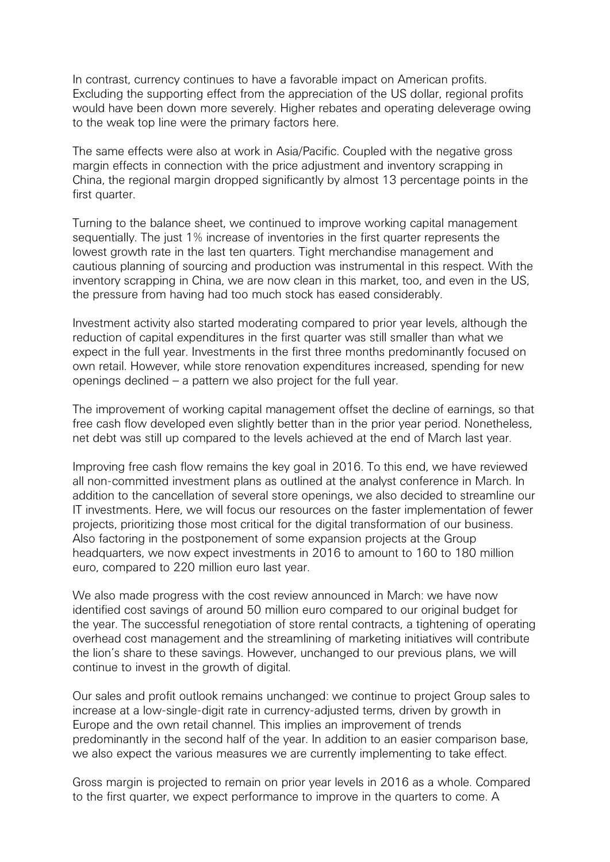In contrast, currency continues to have a favorable impact on American profits. Excluding the supporting effect from the appreciation of the US dollar, regional profits would have been down more severely. Higher rebates and operating deleverage owing to the weak top line were the primary factors here.

The same effects were also at work in Asia/Pacific. Coupled with the negative gross margin effects in connection with the price adjustment and inventory scrapping in China, the regional margin dropped significantly by almost 13 percentage points in the first quarter.

Turning to the balance sheet, we continued to improve working capital management sequentially. The just 1% increase of inventories in the first quarter represents the lowest growth rate in the last ten quarters. Tight merchandise management and cautious planning of sourcing and production was instrumental in this respect. With the inventory scrapping in China, we are now clean in this market, too, and even in the US, the pressure from having had too much stock has eased considerably.

Investment activity also started moderating compared to prior year levels, although the reduction of capital expenditures in the first quarter was still smaller than what we expect in the full year. Investments in the first three months predominantly focused on own retail. However, while store renovation expenditures increased, spending for new openings declined – a pattern we also project for the full year.

The improvement of working capital management offset the decline of earnings, so that free cash flow developed even slightly better than in the prior year period. Nonetheless, net debt was still up compared to the levels achieved at the end of March last year.

Improving free cash flow remains the key goal in 2016. To this end, we have reviewed all non-committed investment plans as outlined at the analyst conference in March. In addition to the cancellation of several store openings, we also decided to streamline our IT investments. Here, we will focus our resources on the faster implementation of fewer projects, prioritizing those most critical for the digital transformation of our business. Also factoring in the postponement of some expansion projects at the Group headquarters, we now expect investments in 2016 to amount to 160 to 180 million euro, compared to 220 million euro last year.

We also made progress with the cost review announced in March: we have now identified cost savings of around 50 million euro compared to our original budget for the year. The successful renegotiation of store rental contracts, a tightening of operating overhead cost management and the streamlining of marketing initiatives will contribute the lion's share to these savings. However, unchanged to our previous plans, we will continue to invest in the growth of digital.

Our sales and profit outlook remains unchanged: we continue to project Group sales to increase at a low-single-digit rate in currency-adjusted terms, driven by growth in Europe and the own retail channel. This implies an improvement of trends predominantly in the second half of the year. In addition to an easier comparison base, we also expect the various measures we are currently implementing to take effect.

Gross margin is projected to remain on prior year levels in 2016 as a whole. Compared to the first quarter, we expect performance to improve in the quarters to come. A